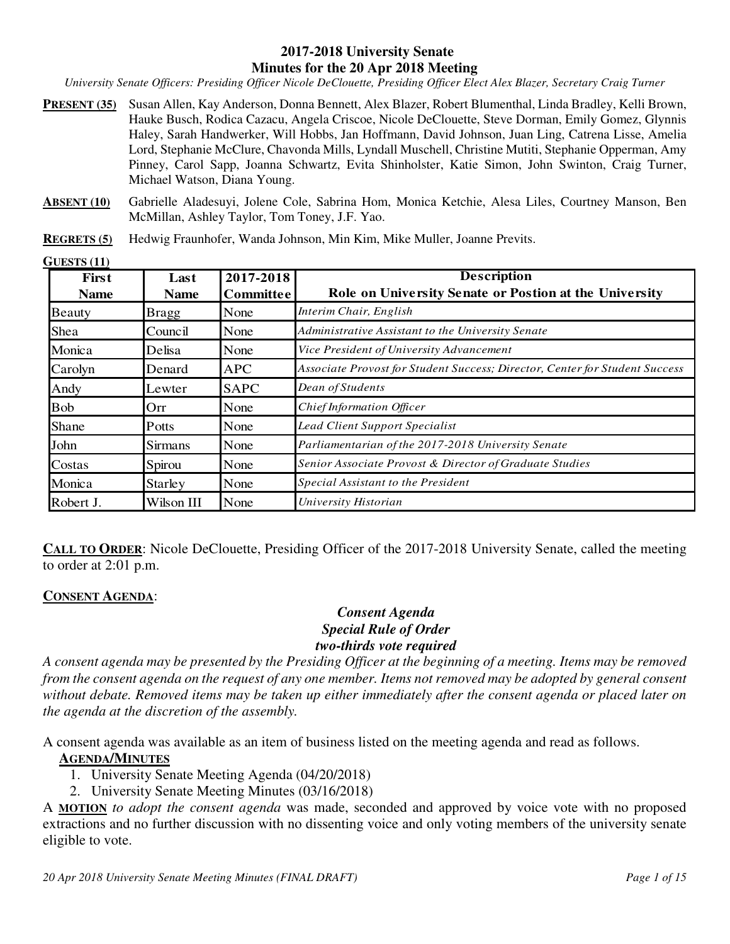#### **2017-2018 University Senate Minutes for the 20 Apr 2018 Meeting**

*University Senate Officers: Presiding Officer Nicole DeClouette, Presiding Officer Elect Alex Blazer, Secretary Craig Turner* 

- **PRESENT (35)** Susan Allen, Kay Anderson, Donna Bennett, Alex Blazer, Robert Blumenthal, Linda Bradley, Kelli Brown, Hauke Busch, Rodica Cazacu, Angela Criscoe, Nicole DeClouette, Steve Dorman, Emily Gomez, Glynnis Haley, Sarah Handwerker, Will Hobbs, Jan Hoffmann, David Johnson, Juan Ling, Catrena Lisse, Amelia Lord, Stephanie McClure, Chavonda Mills, Lyndall Muschell, Christine Mutiti, Stephanie Opperman, Amy Pinney, Carol Sapp, Joanna Schwartz, Evita Shinholster, Katie Simon, John Swinton, Craig Turner, Michael Watson, Diana Young.
- **ABSENT (10)** Gabrielle Aladesuyi, Jolene Cole, Sabrina Hom, Monica Ketchie, Alesa Liles, Courtney Manson, Ben McMillan, Ashley Taylor, Tom Toney, J.F. Yao.
- **REGRETS (5)** Hedwig Fraunhofer, Wanda Johnson, Min Kim, Mike Muller, Joanne Previts.

**GUESTS (11)** 

| First<br><b>Name</b> | Last<br><b>Name</b> | 2017-2018<br><b>Committee</b> | <b>Description</b><br>Role on University Senate or Postion at the University |  |
|----------------------|---------------------|-------------------------------|------------------------------------------------------------------------------|--|
| <b>Beauty</b>        | <b>Bragg</b>        | None                          | Interim Chair, English                                                       |  |
| Shea                 | Council             | None                          | Administrative Assistant to the University Senate                            |  |
| Monica               | Delisa              | None                          | Vice President of University Advancement                                     |  |
| Carolyn              | Denard              | <b>APC</b>                    | Associate Provost for Student Success; Director, Center for Student Success  |  |
| Andy                 | Lewter              | <b>SAPC</b>                   | Dean of Students                                                             |  |
| <b>Bob</b>           | Orr                 | None                          | Chief Information Officer                                                    |  |
| <b>Shane</b>         | Potts               | None                          | <b>Lead Client Support Specialist</b>                                        |  |
| John                 | <b>Sirmans</b>      | None                          | Parliamentarian of the 2017-2018 University Senate                           |  |
| Costas               | Spirou              | None                          | Senior Associate Provost & Director of Graduate Studies                      |  |
| Monica               | <b>Starley</b>      | None                          | Special Assistant to the President                                           |  |
| Robert J.            | Wilson III          | None                          | University Historian                                                         |  |

**CALL TO ORDER:** Nicole DeClouette, Presiding Officer of the 2017-2018 University Senate, called the meeting to order at 2:01 p.m.

#### **CONSENT AGENDA**:

#### *Consent Agenda Special Rule of Order two-thirds vote required*

*A consent agenda may be presented by the Presiding Officer at the beginning of a meeting. Items may be removed from the consent agenda on the request of any one member. Items not removed may be adopted by general consent without debate. Removed items may be taken up either immediately after the consent agenda or placed later on the agenda at the discretion of the assembly.* 

A consent agenda was available as an item of business listed on the meeting agenda and read as follows. **AGENDA/MINUTES**

- 1. University Senate Meeting Agenda (04/20/2018)
- 2. University Senate Meeting Minutes (03/16/2018)

A **MOTION** *to adopt the consent agenda* was made, seconded and approved by voice vote with no proposed extractions and no further discussion with no dissenting voice and only voting members of the university senate eligible to vote.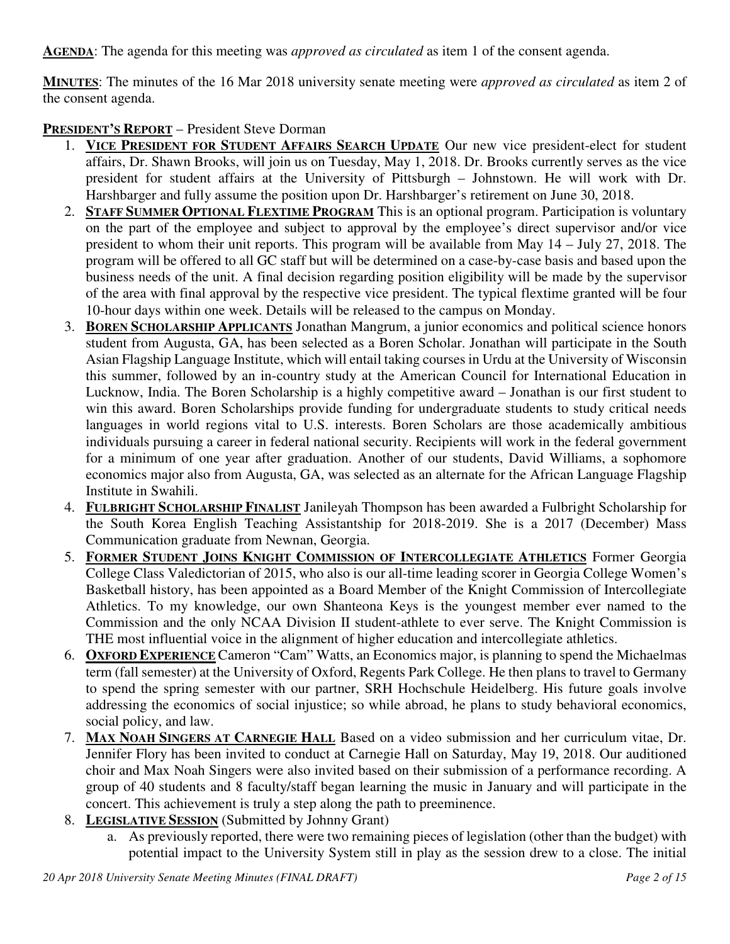**AGENDA**: The agenda for this meeting was *approved as circulated* as item 1 of the consent agenda.

**MINUTES**: The minutes of the 16 Mar 2018 university senate meeting were *approved as circulated* as item 2 of the consent agenda.

**PRESIDENT'S REPORT** – President Steve Dorman

- 1. **VICE PRESIDENT FOR STUDENT AFFAIRS SEARCH UPDATE** Our new vice president-elect for student affairs, Dr. Shawn Brooks, will join us on Tuesday, May 1, 2018. Dr. Brooks currently serves as the vice president for student affairs at the University of Pittsburgh – Johnstown. He will work with Dr. Harshbarger and fully assume the position upon Dr. Harshbarger's retirement on June 30, 2018.
- 2. **STAFF SUMMER OPTIONAL FLEXTIME PROGRAM** This is an optional program. Participation is voluntary on the part of the employee and subject to approval by the employee's direct supervisor and/or vice president to whom their unit reports. This program will be available from May 14 – July 27, 2018. The program will be offered to all GC staff but will be determined on a case-by-case basis and based upon the business needs of the unit. A final decision regarding position eligibility will be made by the supervisor of the area with final approval by the respective vice president. The typical flextime granted will be four 10-hour days within one week. Details will be released to the campus on Monday.
- 3. **BOREN SCHOLARSHIP APPLICANTS** Jonathan Mangrum, a junior economics and political science honors student from Augusta, GA, has been selected as a Boren Scholar. Jonathan will participate in the South Asian Flagship Language Institute, which will entail taking courses in Urdu at the University of Wisconsin this summer, followed by an in-country study at the American Council for International Education in Lucknow, India. The Boren Scholarship is a highly competitive award – Jonathan is our first student to win this award. Boren Scholarships provide funding for undergraduate students to study critical needs languages in world regions vital to U.S. interests. Boren Scholars are those academically ambitious individuals pursuing a career in federal national security. Recipients will work in the federal government for a minimum of one year after graduation. Another of our students, David Williams, a sophomore economics major also from Augusta, GA, was selected as an alternate for the African Language Flagship Institute in Swahili.
- 4. **FULBRIGHT SCHOLARSHIP FINALIST** Janileyah Thompson has been awarded a Fulbright Scholarship for the South Korea English Teaching Assistantship for 2018-2019. She is a 2017 (December) Mass Communication graduate from Newnan, Georgia.
- 5. **FORMER STUDENT JOINS KNIGHT COMMISSION OF INTERCOLLEGIATE ATHLETICS** Former Georgia College Class Valedictorian of 2015, who also is our all-time leading scorer in Georgia College Women's Basketball history, has been appointed as a Board Member of the Knight Commission of Intercollegiate Athletics. To my knowledge, our own Shanteona Keys is the youngest member ever named to the Commission and the only NCAA Division II student-athlete to ever serve. The Knight Commission is THE most influential voice in the alignment of higher education and intercollegiate athletics.
- 6. **OXFORD EXPERIENCE** Cameron "Cam" Watts, an Economics major, is planning to spend the Michaelmas term (fall semester) at the University of Oxford, Regents Park College. He then plans to travel to Germany to spend the spring semester with our partner, SRH Hochschule Heidelberg. His future goals involve addressing the economics of social injustice; so while abroad, he plans to study behavioral economics, social policy, and law.
- 7. **MAX NOAH SINGERS AT CARNEGIE HALL** Based on a video submission and her curriculum vitae, Dr. Jennifer Flory has been invited to conduct at Carnegie Hall on Saturday, May 19, 2018. Our auditioned choir and Max Noah Singers were also invited based on their submission of a performance recording. A group of 40 students and 8 faculty/staff began learning the music in January and will participate in the concert. This achievement is truly a step along the path to preeminence.
- 8. **LEGISLATIVE SESSION** (Submitted by Johnny Grant)
	- a. As previously reported, there were two remaining pieces of legislation (other than the budget) with potential impact to the University System still in play as the session drew to a close. The initial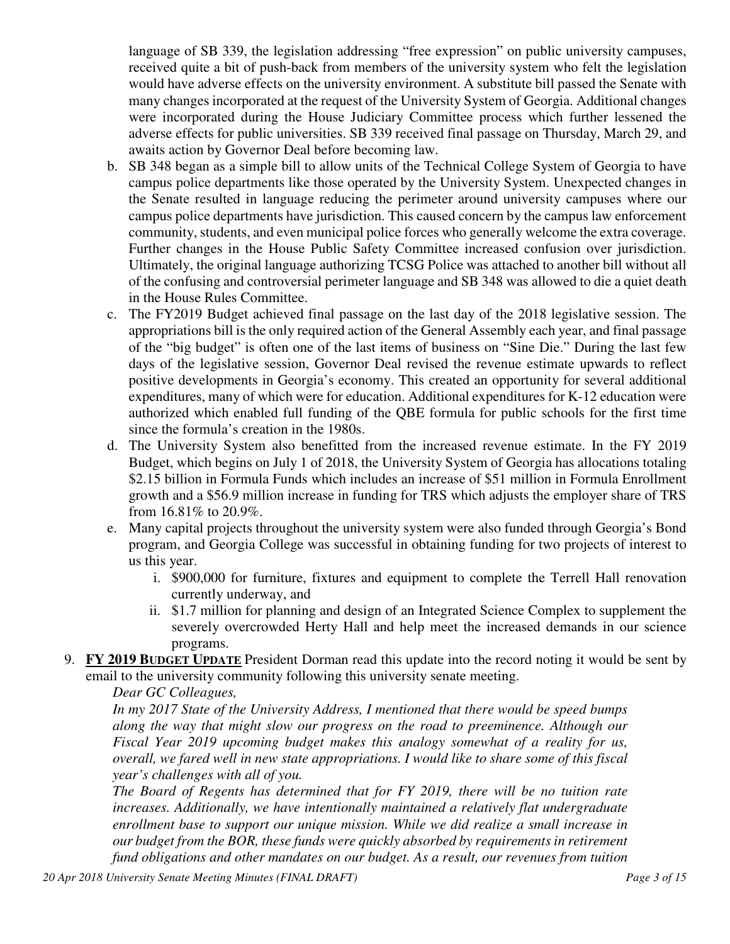language of SB 339, the legislation addressing "free expression" on public university campuses, received quite a bit of push-back from members of the university system who felt the legislation would have adverse effects on the university environment. A substitute bill passed the Senate with many changes incorporated at the request of the University System of Georgia. Additional changes were incorporated during the House Judiciary Committee process which further lessened the adverse effects for public universities. SB 339 received final passage on Thursday, March 29, and awaits action by Governor Deal before becoming law.

- b. SB 348 began as a simple bill to allow units of the Technical College System of Georgia to have campus police departments like those operated by the University System. Unexpected changes in the Senate resulted in language reducing the perimeter around university campuses where our campus police departments have jurisdiction. This caused concern by the campus law enforcement community, students, and even municipal police forces who generally welcome the extra coverage. Further changes in the House Public Safety Committee increased confusion over jurisdiction. Ultimately, the original language authorizing TCSG Police was attached to another bill without all of the confusing and controversial perimeter language and SB 348 was allowed to die a quiet death in the House Rules Committee.
- c. The FY2019 Budget achieved final passage on the last day of the 2018 legislative session. The appropriations bill is the only required action of the General Assembly each year, and final passage of the "big budget" is often one of the last items of business on "Sine Die." During the last few days of the legislative session, Governor Deal revised the revenue estimate upwards to reflect positive developments in Georgia's economy. This created an opportunity for several additional expenditures, many of which were for education. Additional expenditures for K-12 education were authorized which enabled full funding of the QBE formula for public schools for the first time since the formula's creation in the 1980s.
- d. The University System also benefitted from the increased revenue estimate. In the FY 2019 Budget, which begins on July 1 of 2018, the University System of Georgia has allocations totaling \$2.15 billion in Formula Funds which includes an increase of \$51 million in Formula Enrollment growth and a \$56.9 million increase in funding for TRS which adjusts the employer share of TRS from 16.81% to 20.9%.
- e. Many capital projects throughout the university system were also funded through Georgia's Bond program, and Georgia College was successful in obtaining funding for two projects of interest to us this year.
	- i. \$900,000 for furniture, fixtures and equipment to complete the Terrell Hall renovation currently underway, and
	- ii. \$1.7 million for planning and design of an Integrated Science Complex to supplement the severely overcrowded Herty Hall and help meet the increased demands in our science programs.
- 9. **FY 2019 BUDGET UPDATE** President Dorman read this update into the record noting it would be sent by email to the university community following this university senate meeting.

## *Dear GC Colleagues,*

*In my 2017 State of the University Address, I mentioned that there would be speed bumps along the way that might slow our progress on the road to preeminence. Although our Fiscal Year 2019 upcoming budget makes this analogy somewhat of a reality for us, overall, we fared well in new state appropriations. I would like to share some of this fiscal year's challenges with all of you.* 

*The Board of Regents has determined that for FY 2019, there will be no tuition rate increases. Additionally, we have intentionally maintained a relatively flat undergraduate enrollment base to support our unique mission. While we did realize a small increase in our budget from the BOR, these funds were quickly absorbed by requirements in retirement fund obligations and other mandates on our budget. As a result, our revenues from tuition* 

*20 Apr 2018 University Senate Meeting Minutes (FINAL DRAFT) Page 3 of 15*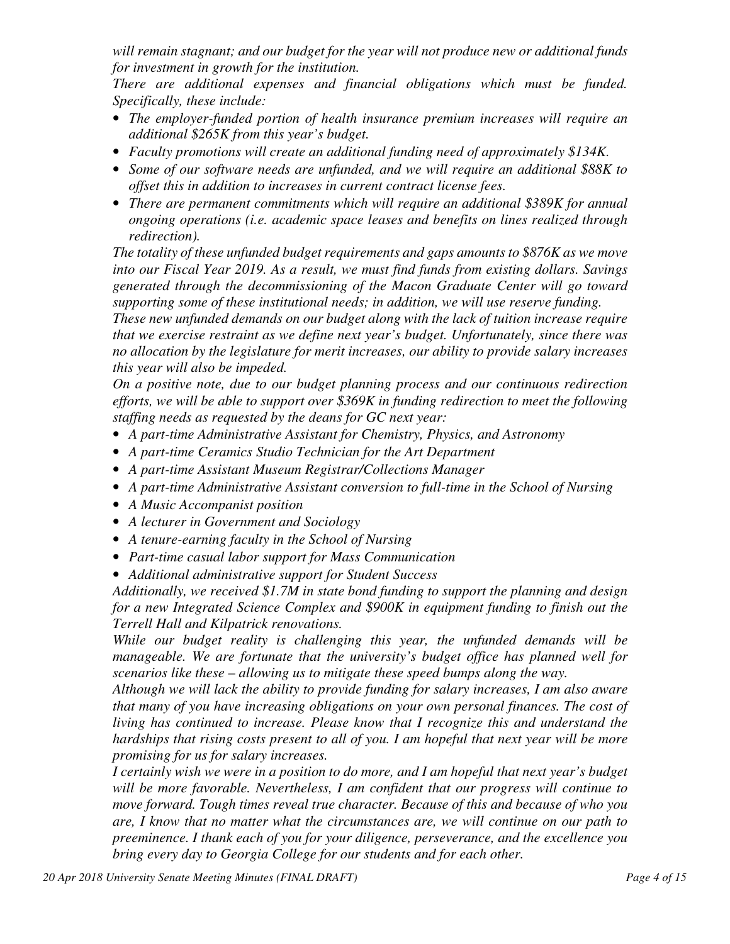*will remain stagnant; and our budget for the year will not produce new or additional funds for investment in growth for the institution.* 

*There are additional expenses and financial obligations which must be funded. Specifically, these include:* 

- *The employer-funded portion of health insurance premium increases will require an additional \$265K from this year's budget.*
- *Faculty promotions will create an additional funding need of approximately \$134K.*
- *Some of our software needs are unfunded, and we will require an additional \$88K to offset this in addition to increases in current contract license fees.*
- *There are permanent commitments which will require an additional \$389K for annual ongoing operations (i.e. academic space leases and benefits on lines realized through redirection).*

*The totality of these unfunded budget requirements and gaps amounts to \$876K as we move into our Fiscal Year 2019. As a result, we must find funds from existing dollars. Savings generated through the decommissioning of the Macon Graduate Center will go toward supporting some of these institutional needs; in addition, we will use reserve funding.* 

*These new unfunded demands on our budget along with the lack of tuition increase require that we exercise restraint as we define next year's budget. Unfortunately, since there was no allocation by the legislature for merit increases, our ability to provide salary increases this year will also be impeded.* 

*On a positive note, due to our budget planning process and our continuous redirection efforts, we will be able to support over \$369K in funding redirection to meet the following staffing needs as requested by the deans for GC next year:* 

- *A part-time Administrative Assistant for Chemistry, Physics, and Astronomy*
- *A part-time Ceramics Studio Technician for the Art Department*
- *A part-time Assistant Museum Registrar/Collections Manager*
- *A part-time Administrative Assistant conversion to full-time in the School of Nursing*
- *A Music Accompanist position*
- *A lecturer in Government and Sociology*
- *A tenure-earning faculty in the School of Nursing*
- *Part-time casual labor support for Mass Communication*
- *Additional administrative support for Student Success*

*Additionally, we received \$1.7M in state bond funding to support the planning and design for a new Integrated Science Complex and \$900K in equipment funding to finish out the Terrell Hall and Kilpatrick renovations.* 

*While our budget reality is challenging this year, the unfunded demands will be manageable. We are fortunate that the university's budget office has planned well for scenarios like these – allowing us to mitigate these speed bumps along the way.* 

*Although we will lack the ability to provide funding for salary increases, I am also aware that many of you have increasing obligations on your own personal finances. The cost of living has continued to increase. Please know that I recognize this and understand the hardships that rising costs present to all of you. I am hopeful that next year will be more promising for us for salary increases.* 

*I certainly wish we were in a position to do more, and I am hopeful that next year's budget will be more favorable. Nevertheless, I am confident that our progress will continue to move forward. Tough times reveal true character. Because of this and because of who you are, I know that no matter what the circumstances are, we will continue on our path to preeminence. I thank each of you for your diligence, perseverance, and the excellence you bring every day to Georgia College for our students and for each other.*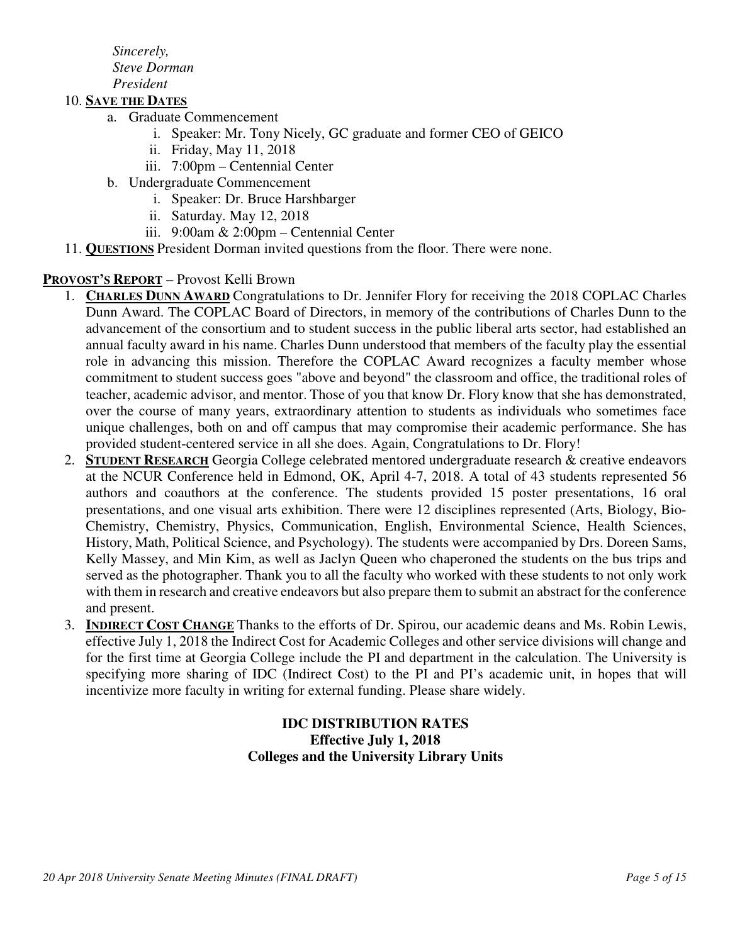*Sincerely, Steve Dorman President* 

#### 10. **SAVE THE DATES**

- a. Graduate Commencement
	- i. Speaker: Mr. Tony Nicely, GC graduate and former CEO of GEICO
	- ii. Friday, May 11, 2018
	- iii. 7:00pm Centennial Center
- b. Undergraduate Commencement
	- i. Speaker: Dr. Bruce Harshbarger
	- ii. Saturday. May 12, 2018
	- iii. 9:00am & 2:00pm Centennial Center
- 11. **QUESTIONS** President Dorman invited questions from the floor. There were none.

#### **PROVOST'S REPORT** – Provost Kelli Brown

- 1. **CHARLES DUNN AWARD** Congratulations to Dr. Jennifer Flory for receiving the 2018 COPLAC Charles Dunn Award. The COPLAC Board of Directors, in memory of the contributions of Charles Dunn to the advancement of the consortium and to student success in the public liberal arts sector, had established an annual faculty award in his name. Charles Dunn understood that members of the faculty play the essential role in advancing this mission. Therefore the COPLAC Award recognizes a faculty member whose commitment to student success goes "above and beyond" the classroom and office, the traditional roles of teacher, academic advisor, and mentor. Those of you that know Dr. Flory know that she has demonstrated, over the course of many years, extraordinary attention to students as individuals who sometimes face unique challenges, both on and off campus that may compromise their academic performance. She has provided student-centered service in all she does. Again, Congratulations to Dr. Flory!
- 2. **STUDENT RESEARCH** Georgia College celebrated mentored undergraduate research & creative endeavors at the NCUR Conference held in Edmond, OK, April 4-7, 2018. A total of 43 students represented 56 authors and coauthors at the conference. The students provided 15 poster presentations, 16 oral presentations, and one visual arts exhibition. There were 12 disciplines represented (Arts, Biology, Bio-Chemistry, Chemistry, Physics, Communication, English, Environmental Science, Health Sciences, History, Math, Political Science, and Psychology). The students were accompanied by Drs. Doreen Sams, Kelly Massey, and Min Kim, as well as Jaclyn Queen who chaperoned the students on the bus trips and served as the photographer. Thank you to all the faculty who worked with these students to not only work with them in research and creative endeavors but also prepare them to submit an abstract for the conference and present.
- 3. **INDIRECT COST CHANGE** Thanks to the efforts of Dr. Spirou, our academic deans and Ms. Robin Lewis, effective July 1, 2018 the Indirect Cost for Academic Colleges and other service divisions will change and for the first time at Georgia College include the PI and department in the calculation. The University is specifying more sharing of IDC (Indirect Cost) to the PI and PI's academic unit, in hopes that will incentivize more faculty in writing for external funding. Please share widely.

## **IDC DISTRIBUTION RATES Effective July 1, 2018 Colleges and the University Library Units**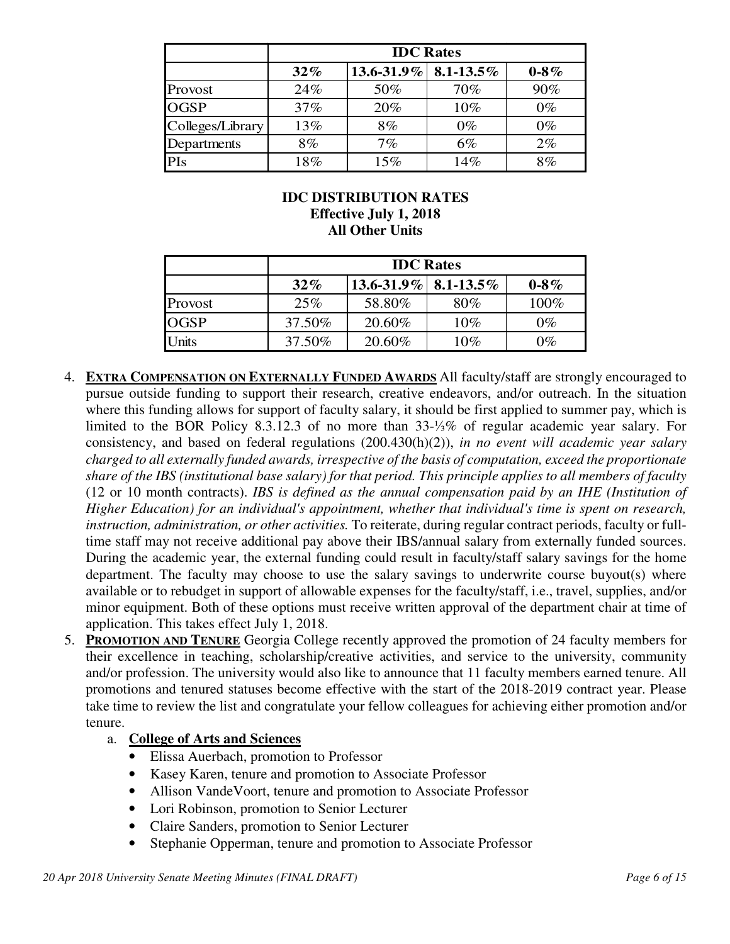|                  | <b>IDC</b> Rates |                           |       |           |  |  |
|------------------|------------------|---------------------------|-------|-----------|--|--|
|                  | $32\%$           | $13.6 - 31.9\%$ 8.1-13.5% |       | $0 - 8\%$ |  |  |
| Provost          | 24%              | 50%                       | 70%   | 90%       |  |  |
| <b>OGSP</b>      | 37%              | 20%                       | 10%   | $0\%$     |  |  |
| Colleges/Library | 13%              | 8%                        | $0\%$ | $0\%$     |  |  |
| Departments      | 8%               | $7\%$                     | $6\%$ | 2%        |  |  |
| <b>PIs</b>       | 18%              | 15%                       | 14%   | 8%        |  |  |

## **IDC DISTRIBUTION RATES Effective July 1, 2018 All Other Units**

|             | <b>IDC</b> Rates |                             |        |           |  |  |
|-------------|------------------|-----------------------------|--------|-----------|--|--|
|             | $32\%$           | $13.6 - 31.9\%$   8.1-13.5% |        | $0 - 8\%$ |  |  |
| Provost     | 25%              | 58.80%                      | 80%    | 100%      |  |  |
| <b>OGSP</b> | 37.50%           | 20.60%                      | $10\%$ | $0\%$     |  |  |
| Units       | 37.50%           | 20.60%                      | $10\%$ | $0\%$     |  |  |

- 4. **EXTRA COMPENSATION ON EXTERNALLY FUNDED AWARDS** All faculty/staff are strongly encouraged to pursue outside funding to support their research, creative endeavors, and/or outreach. In the situation where this funding allows for support of faculty salary, it should be first applied to summer pay, which is limited to the BOR Policy 8.3.12.3 of no more than 33-⅓% of regular academic year salary. For consistency, and based on federal regulations (200.430(h)(2)), *in no event will academic year salary charged to all externally funded awards, irrespective of the basis of computation, exceed the proportionate share of the IBS (institutional base salary) for that period. This principle applies to all members of faculty* (12 or 10 month contracts). *IBS is defined as the annual compensation paid by an IHE (Institution of Higher Education) for an individual's appointment, whether that individual's time is spent on research, instruction, administration, or other activities.* To reiterate, during regular contract periods, faculty or fulltime staff may not receive additional pay above their IBS/annual salary from externally funded sources. During the academic year, the external funding could result in faculty/staff salary savings for the home department. The faculty may choose to use the salary savings to underwrite course buyout(s) where available or to rebudget in support of allowable expenses for the faculty/staff, i.e., travel, supplies, and/or minor equipment. Both of these options must receive written approval of the department chair at time of application. This takes effect July 1, 2018.
- 5. **PROMOTION AND TENURE** Georgia College recently approved the promotion of 24 faculty members for their excellence in teaching, scholarship/creative activities, and service to the university, community and/or profession. The university would also like to announce that 11 faculty members earned tenure. All promotions and tenured statuses become effective with the start of the 2018-2019 contract year. Please take time to review the list and congratulate your fellow colleagues for achieving either promotion and/or tenure.

## a. **College of Arts and Sciences**

- Elissa Auerbach, promotion to Professor
- Kasey Karen, tenure and promotion to Associate Professor
- Allison VandeVoort, tenure and promotion to Associate Professor
- Lori Robinson, promotion to Senior Lecturer
- Claire Sanders, promotion to Senior Lecturer
- Stephanie Opperman, tenure and promotion to Associate Professor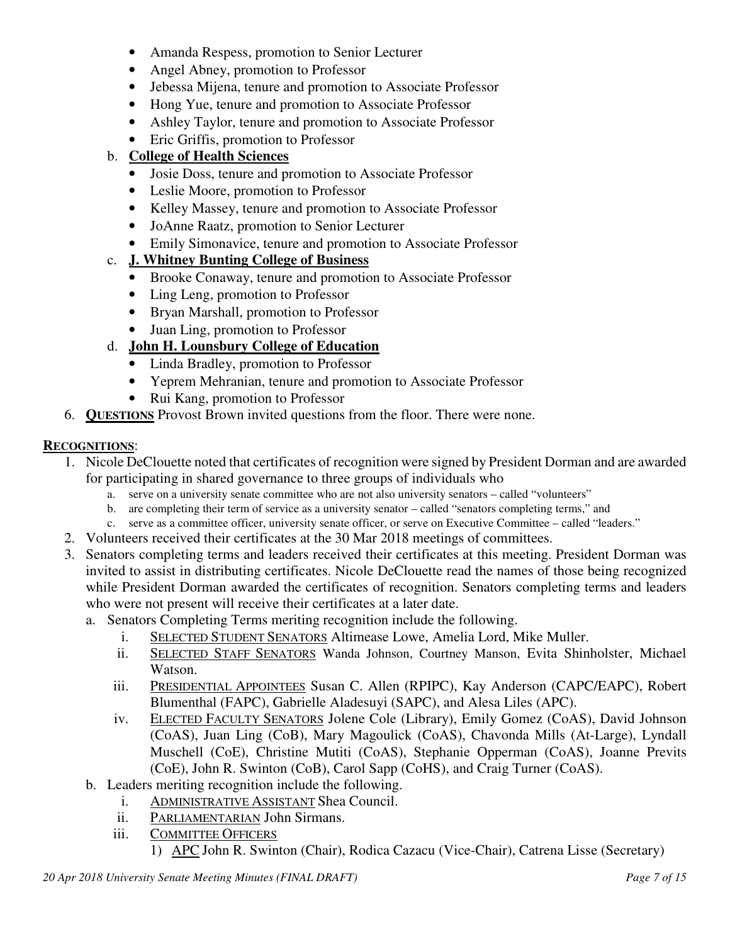- Amanda Respess, promotion to Senior Lecturer
- Angel Abney, promotion to Professor
- Jebessa Mijena, tenure and promotion to Associate Professor
- Hong Yue, tenure and promotion to Associate Professor
- Ashley Taylor, tenure and promotion to Associate Professor
- Eric Griffis, promotion to Professor

## b. **College of Health Sciences**

- Josie Doss, tenure and promotion to Associate Professor
- Leslie Moore, promotion to Professor
- Kelley Massey, tenure and promotion to Associate Professor
- JoAnne Raatz, promotion to Senior Lecturer
- Emily Simonavice, tenure and promotion to Associate Professor

# c. **J. Whitney Bunting College of Business**

- Brooke Conaway, tenure and promotion to Associate Professor
- Ling Leng, promotion to Professor
- Bryan Marshall, promotion to Professor
- Juan Ling, promotion to Professor

# d. **John H. Lounsbury College of Education**

- Linda Bradley, promotion to Professor
- Yeprem Mehranian, tenure and promotion to Associate Professor
- Rui Kang, promotion to Professor
- 6. **QUESTIONS** Provost Brown invited questions from the floor. There were none.

## **RECOGNITIONS**:

- 1. Nicole DeClouette noted that certificates of recognition were signed by President Dorman and are awarded for participating in shared governance to three groups of individuals who
	- a. serve on a university senate committee who are not also university senators called "volunteers"
	- b. are completing their term of service as a university senator called "senators completing terms," and
	- c. serve as a committee officer, university senate officer, or serve on Executive Committee called "leaders."
- 2. Volunteers received their certificates at the 30 Mar 2018 meetings of committees.
- 3. Senators completing terms and leaders received their certificates at this meeting. President Dorman was invited to assist in distributing certificates. Nicole DeClouette read the names of those being recognized while President Dorman awarded the certificates of recognition. Senators completing terms and leaders who were not present will receive their certificates at a later date.
	- a. Senators Completing Terms meriting recognition include the following.
		- i. SELECTED STUDENT SENATORS Altimease Lowe, Amelia Lord, Mike Muller.
		- ii. SELECTED STAFF SENATORS Wanda Johnson, Courtney Manson, Evita Shinholster, Michael Watson.
		- iii. PRESIDENTIAL APPOINTEES Susan C. Allen (RPIPC), Kay Anderson (CAPC/EAPC), Robert Blumenthal (FAPC), Gabrielle Aladesuyi (SAPC), and Alesa Liles (APC).
		- iv. ELECTED FACULTY SENATORS Jolene Cole (Library), Emily Gomez (CoAS), David Johnson (CoAS), Juan Ling (CoB), Mary Magoulick (CoAS), Chavonda Mills (At-Large), Lyndall Muschell (CoE), Christine Mutiti (CoAS), Stephanie Opperman (CoAS), Joanne Previts (CoE), John R. Swinton (CoB), Carol Sapp (CoHS), and Craig Turner (CoAS).
	- b. Leaders meriting recognition include the following.
		- i. ADMINISTRATIVE ASSISTANT Shea Council.
		- ii. PARLIAMENTARIAN John Sirmans.
		- iii. COMMITTEE OFFICERS
			- 1) APC John R. Swinton (Chair), Rodica Cazacu (Vice-Chair), Catrena Lisse (Secretary)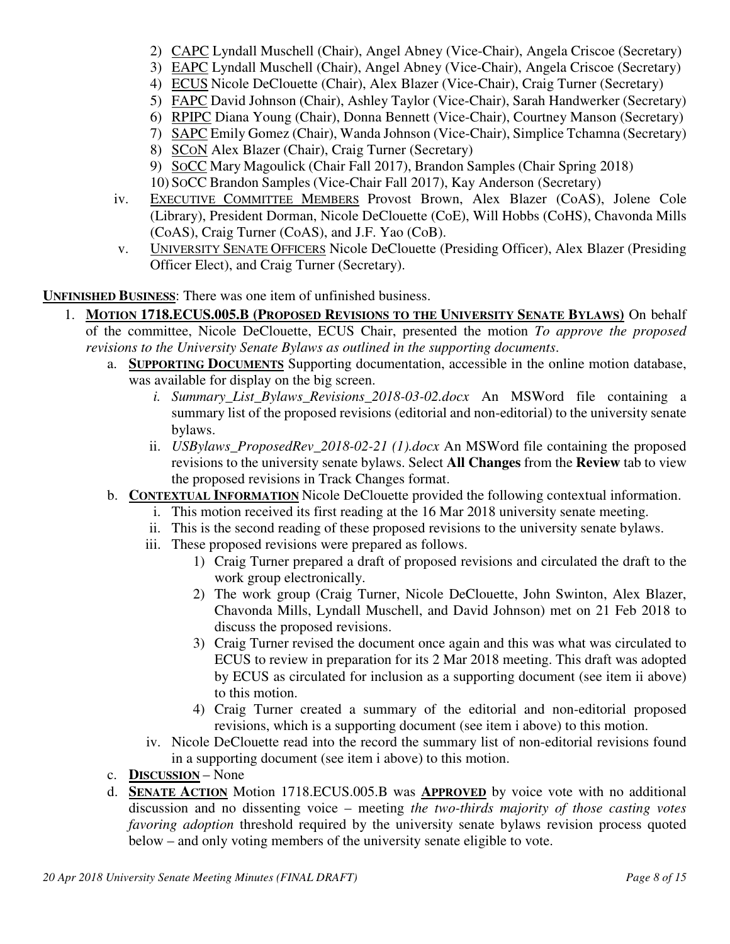- 2) CAPC Lyndall Muschell (Chair), Angel Abney (Vice-Chair), Angela Criscoe (Secretary)
- 3) EAPC Lyndall Muschell (Chair), Angel Abney (Vice-Chair), Angela Criscoe (Secretary)
- 4) ECUS Nicole DeClouette (Chair), Alex Blazer (Vice-Chair), Craig Turner (Secretary)
- 5) FAPC David Johnson (Chair), Ashley Taylor (Vice-Chair), Sarah Handwerker (Secretary)
- 6) RPIPC Diana Young (Chair), Donna Bennett (Vice-Chair), Courtney Manson (Secretary)
- 7) SAPC Emily Gomez (Chair), Wanda Johnson (Vice-Chair), Simplice Tchamna (Secretary)
- 8) SCON Alex Blazer (Chair), Craig Turner (Secretary)
- 9) SOCC Mary Magoulick (Chair Fall 2017), Brandon Samples (Chair Spring 2018)
- 10) SOCC Brandon Samples (Vice-Chair Fall 2017), Kay Anderson (Secretary)
- iv. EXECUTIVE COMMITTEE MEMBERS Provost Brown, Alex Blazer (CoAS), Jolene Cole (Library), President Dorman, Nicole DeClouette (CoE), Will Hobbs (CoHS), Chavonda Mills (CoAS), Craig Turner (CoAS), and J.F. Yao (CoB).
- v. UNIVERSITY SENATE OFFICERS Nicole DeClouette (Presiding Officer), Alex Blazer (Presiding Officer Elect), and Craig Turner (Secretary).

**UNFINISHED BUSINESS**: There was one item of unfinished business.

- 1. **MOTION 1718.ECUS.005.B (PROPOSED REVISIONS TO THE UNIVERSITY SENATE BYLAWS)** On behalf of the committee, Nicole DeClouette, ECUS Chair, presented the motion *To approve the proposed revisions to the University Senate Bylaws as outlined in the supporting documents*.
	- a. **SUPPORTING DOCUMENTS** Supporting documentation, accessible in the online motion database, was available for display on the big screen.
		- *i. Summary\_List\_Bylaws\_Revisions\_2018-03-02.docx* An MSWord file containing a summary list of the proposed revisions (editorial and non-editorial) to the university senate bylaws.
		- ii. *USBylaws\_ProposedRev\_2018-02-21 (1).docx* An MSWord file containing the proposed revisions to the university senate bylaws. Select **All Changes** from the **Review** tab to view the proposed revisions in Track Changes format.
	- b. **CONTEXTUAL INFORMATION** Nicole DeClouette provided the following contextual information.
		- i. This motion received its first reading at the 16 Mar 2018 university senate meeting.
		- ii. This is the second reading of these proposed revisions to the university senate bylaws.
		- iii. These proposed revisions were prepared as follows.
			- 1) Craig Turner prepared a draft of proposed revisions and circulated the draft to the work group electronically.
			- 2) The work group (Craig Turner, Nicole DeClouette, John Swinton, Alex Blazer, Chavonda Mills, Lyndall Muschell, and David Johnson) met on 21 Feb 2018 to discuss the proposed revisions.
			- 3) Craig Turner revised the document once again and this was what was circulated to ECUS to review in preparation for its 2 Mar 2018 meeting. This draft was adopted by ECUS as circulated for inclusion as a supporting document (see item ii above) to this motion.
			- 4) Craig Turner created a summary of the editorial and non-editorial proposed revisions, which is a supporting document (see item i above) to this motion.
		- iv. Nicole DeClouette read into the record the summary list of non-editorial revisions found in a supporting document (see item i above) to this motion.
	- c. **DISCUSSION**  None
	- d. **SENATE ACTION** Motion 1718.ECUS.005.B was **APPROVED** by voice vote with no additional discussion and no dissenting voice – meeting *the two-thirds majority of those casting votes favoring adoption* threshold required by the university senate bylaws revision process quoted below – and only voting members of the university senate eligible to vote.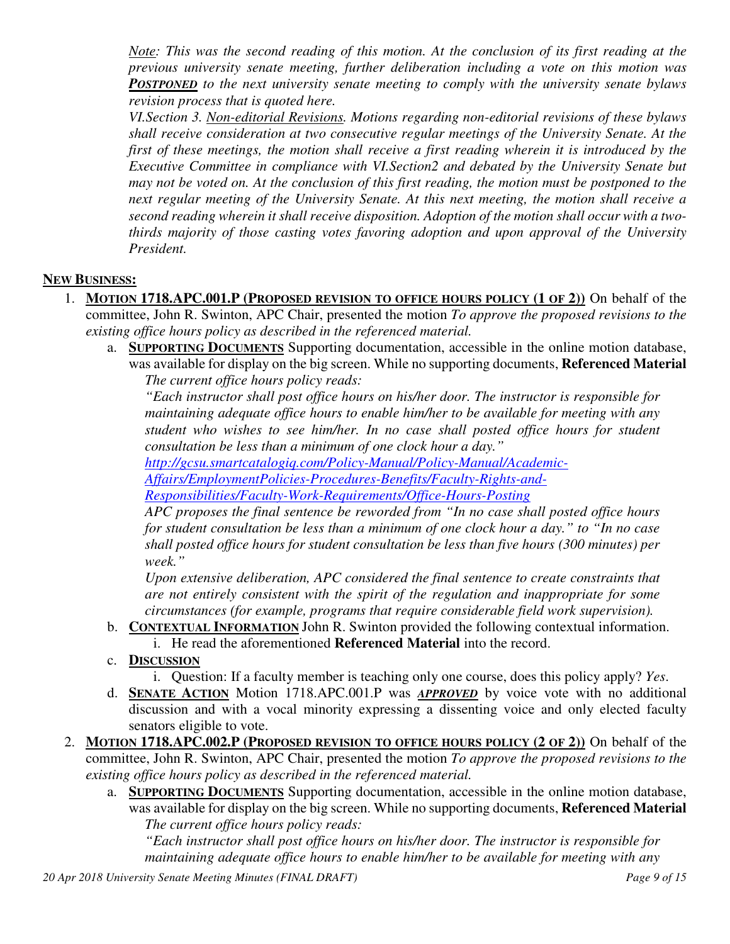*Note: This was the second reading of this motion. At the conclusion of its first reading at the previous university senate meeting, further deliberation including a vote on this motion was POSTPONED to the next university senate meeting to comply with the university senate bylaws revision process that is quoted here.* 

*VI.Section 3. Non-editorial Revisions. Motions regarding non-editorial revisions of these bylaws shall receive consideration at two consecutive regular meetings of the University Senate. At the first of these meetings, the motion shall receive a first reading wherein it is introduced by the Executive Committee in compliance with VI.Section2 and debated by the University Senate but may not be voted on. At the conclusion of this first reading, the motion must be postponed to the next regular meeting of the University Senate. At this next meeting, the motion shall receive a second reading wherein it shall receive disposition. Adoption of the motion shall occur with a twothirds majority of those casting votes favoring adoption and upon approval of the University President.* 

#### **NEW BUSINESS:**

- 1. **MOTION 1718.APC.001.P (PROPOSED REVISION TO OFFICE HOURS POLICY (1 OF 2))** On behalf of the committee, John R. Swinton, APC Chair, presented the motion *To approve the proposed revisions to the existing office hours policy as described in the referenced material.*
	- a. **SUPPORTING DOCUMENTS** Supporting documentation, accessible in the online motion database, was available for display on the big screen. While no supporting documents, **Referenced Material** *The current office hours policy reads:*

*"Each instructor shall post office hours on his/her door. The instructor is responsible for maintaining adequate office hours to enable him/her to be available for meeting with any student who wishes to see him/her. In no case shall posted office hours for student consultation be less than a minimum of one clock hour a day."* 

*http://gcsu.smartcatalogiq.com/Policy-Manual/Policy-Manual/Academic-*

*Affairs/EmploymentPolicies-Procedures-Benefits/Faculty-Rights-and-*

*Responsibilities/Faculty-Work-Requirements/Office-Hours-Posting*

*APC proposes the final sentence be reworded from "In no case shall posted office hours for student consultation be less than a minimum of one clock hour a day." to "In no case shall posted office hours for student consultation be less than five hours (300 minutes) per week."* 

*Upon extensive deliberation, APC considered the final sentence to create constraints that are not entirely consistent with the spirit of the regulation and inappropriate for some circumstances (for example, programs that require considerable field work supervision).* 

- b. **CONTEXTUAL INFORMATION** John R. Swinton provided the following contextual information.
	- i. He read the aforementioned **Referenced Material** into the record.
- c. **DISCUSSION**
	- i. Question: If a faculty member is teaching only one course, does this policy apply? *Yes*.
- d. **SENATE ACTION** Motion 1718.APC.001.P was *APPROVED* by voice vote with no additional discussion and with a vocal minority expressing a dissenting voice and only elected faculty senators eligible to vote.
- 2. **MOTION 1718.APC.002.P (PROPOSED REVISION TO OFFICE HOURS POLICY (2 OF 2))** On behalf of the committee, John R. Swinton, APC Chair, presented the motion *To approve the proposed revisions to the existing office hours policy as described in the referenced material.*
	- a. **SUPPORTING DOCUMENTS** Supporting documentation, accessible in the online motion database, was available for display on the big screen. While no supporting documents, **Referenced Material** *The current office hours policy reads:*

*"Each instructor shall post office hours on his/her door. The instructor is responsible for maintaining adequate office hours to enable him/her to be available for meeting with any*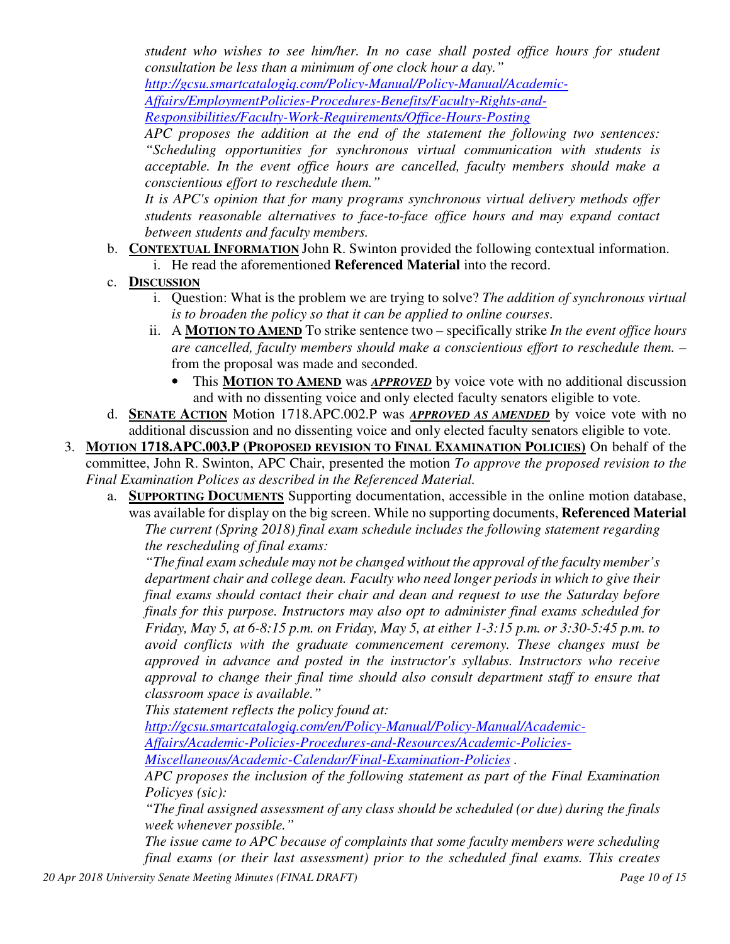*student who wishes to see him/her. In no case shall posted office hours for student consultation be less than a minimum of one clock hour a day."* 

*http://gcsu.smartcatalogiq.com/Policy-Manual/Policy-Manual/Academic-*

*Affairs/EmploymentPolicies-Procedures-Benefits/Faculty-Rights-and-Responsibilities/Faculty-Work-Requirements/Office-Hours-Posting*

*APC proposes the addition at the end of the statement the following two sentences: "Scheduling opportunities for synchronous virtual communication with students is acceptable. In the event office hours are cancelled, faculty members should make a conscientious effort to reschedule them."* 

*It is APC's opinion that for many programs synchronous virtual delivery methods offer students reasonable alternatives to face-to-face office hours and may expand contact between students and faculty members.* 

- b. **CONTEXTUAL INFORMATION** John R. Swinton provided the following contextual information.
	- i. He read the aforementioned **Referenced Material** into the record.
- c. **DISCUSSION**
	- i. Question: What is the problem we are trying to solve? *The addition of synchronous virtual is to broaden the policy so that it can be applied to online courses*.
	- ii. A **MOTION TO AMEND** To strike sentence two specifically strike *In the event office hours are cancelled, faculty members should make a conscientious effort to reschedule them. –*  from the proposal was made and seconded.
		- This **MOTION TO AMEND** was *APPROVED* by voice vote with no additional discussion and with no dissenting voice and only elected faculty senators eligible to vote.
- d. **SENATE ACTION** Motion 1718.APC.002.P was *APPROVED AS AMENDED* by voice vote with no additional discussion and no dissenting voice and only elected faculty senators eligible to vote.
- 3. **MOTION 1718.APC.003.P (PROPOSED REVISION TO FINAL EXAMINATION POLICIES)** On behalf of the committee, John R. Swinton, APC Chair, presented the motion *To approve the proposed revision to the Final Examination Polices as described in the Referenced Material.*
	- a. **SUPPORTING DOCUMENTS** Supporting documentation, accessible in the online motion database, was available for display on the big screen. While no supporting documents, **Referenced Material** *The current (Spring 2018) final exam schedule includes the following statement regarding the rescheduling of final exams:*

*"The final exam schedule may not be changed without the approval of the faculty member's department chair and college dean. Faculty who need longer periods in which to give their final exams should contact their chair and dean and request to use the Saturday before finals for this purpose. Instructors may also opt to administer final exams scheduled for Friday, May 5, at 6-8:15 p.m. on Friday, May 5, at either 1-3:15 p.m. or 3:30-5:45 p.m. to avoid conflicts with the graduate commencement ceremony. These changes must be approved in advance and posted in the instructor's syllabus. Instructors who receive approval to change their final time should also consult department staff to ensure that classroom space is available."* 

*This statement reflects the policy found at:* 

*http://gcsu.smartcatalogiq.com/en/Policy-Manual/Policy-Manual/Academic-Affairs/Academic-Policies-Procedures-and-Resources/Academic-Policies-Miscellaneous/Academic-Calendar/Final-Examination-Policies .* 

*APC proposes the inclusion of the following statement as part of the Final Examination Policyes (sic):* 

*"The final assigned assessment of any class should be scheduled (or due) during the finals week whenever possible."* 

*The issue came to APC because of complaints that some faculty members were scheduling final exams (or their last assessment) prior to the scheduled final exams. This creates*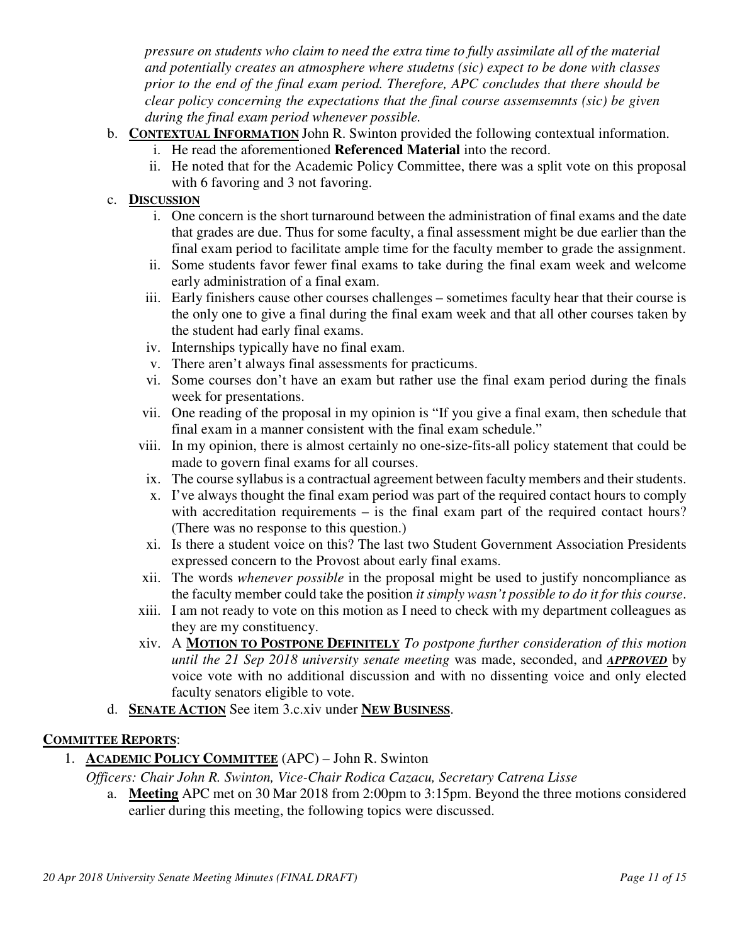*pressure on students who claim to need the extra time to fully assimilate all of the material and potentially creates an atmosphere where studetns (sic) expect to be done with classes prior to the end of the final exam period. Therefore, APC concludes that there should be clear policy concerning the expectations that the final course assemsemnts (sic) be given during the final exam period whenever possible.* 

- b. **CONTEXTUAL INFORMATION** John R. Swinton provided the following contextual information.
	- i. He read the aforementioned **Referenced Material** into the record.
	- ii. He noted that for the Academic Policy Committee, there was a split vote on this proposal with 6 favoring and 3 not favoring.

## c. **DISCUSSION**

- i. One concern is the short turnaround between the administration of final exams and the date that grades are due. Thus for some faculty, a final assessment might be due earlier than the final exam period to facilitate ample time for the faculty member to grade the assignment.
- ii. Some students favor fewer final exams to take during the final exam week and welcome early administration of a final exam.
- iii. Early finishers cause other courses challenges sometimes faculty hear that their course is the only one to give a final during the final exam week and that all other courses taken by the student had early final exams.
- iv. Internships typically have no final exam.
- v. There aren't always final assessments for practicums.
- vi. Some courses don't have an exam but rather use the final exam period during the finals week for presentations.
- vii. One reading of the proposal in my opinion is "If you give a final exam, then schedule that final exam in a manner consistent with the final exam schedule."
- viii. In my opinion, there is almost certainly no one-size-fits-all policy statement that could be made to govern final exams for all courses.
- ix. The course syllabus is a contractual agreement between faculty members and their students.
- x. I've always thought the final exam period was part of the required contact hours to comply with accreditation requirements – is the final exam part of the required contact hours? (There was no response to this question.)
- xi. Is there a student voice on this? The last two Student Government Association Presidents expressed concern to the Provost about early final exams.
- xii. The words *whenever possible* in the proposal might be used to justify noncompliance as the faculty member could take the position *it simply wasn't possible to do it for this course*.
- xiii. I am not ready to vote on this motion as I need to check with my department colleagues as they are my constituency.
- xiv. A **MOTION TO POSTPONE DEFINITELY** *To postpone further consideration of this motion until the 21 Sep 2018 university senate meeting* was made, seconded, and *APPROVED* by voice vote with no additional discussion and with no dissenting voice and only elected faculty senators eligible to vote.
- d. **SENATE ACTION** See item 3.c.xiv under **NEW BUSINESS**.

## **COMMITTEE REPORTS**:

1. **ACADEMIC POLICY COMMITTEE** (APC) – John R. Swinton

*Officers: Chair John R. Swinton, Vice-Chair Rodica Cazacu, Secretary Catrena Lisse*

a. **Meeting** APC met on 30 Mar 2018 from 2:00pm to 3:15pm. Beyond the three motions considered earlier during this meeting, the following topics were discussed.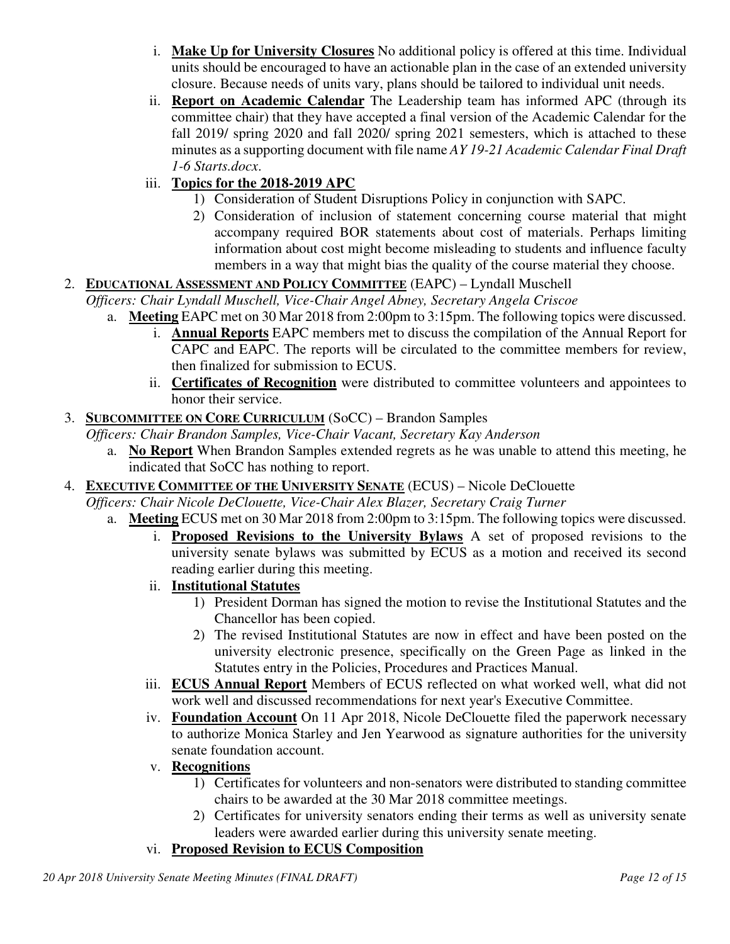- i. **Make Up for University Closures** No additional policy is offered at this time. Individual units should be encouraged to have an actionable plan in the case of an extended university closure. Because needs of units vary, plans should be tailored to individual unit needs.
- ii. **Report on Academic Calendar** The Leadership team has informed APC (through its committee chair) that they have accepted a final version of the Academic Calendar for the fall 2019/ spring 2020 and fall 2020/ spring 2021 semesters, which is attached to these minutes as a supporting document with file name *AY 19-21 Academic Calendar Final Draft 1-6 Starts.docx*.

# iii. **Topics for the 2018-2019 APC**

- 1) Consideration of Student Disruptions Policy in conjunction with SAPC.
- 2) Consideration of inclusion of statement concerning course material that might accompany required BOR statements about cost of materials. Perhaps limiting information about cost might become misleading to students and influence faculty members in a way that might bias the quality of the course material they choose.

# 2. **EDUCATIONAL ASSESSMENT AND POLICY COMMITTEE** (EAPC) – Lyndall Muschell

*Officers: Chair Lyndall Muschell, Vice-Chair Angel Abney, Secretary Angela Criscoe* 

- a. **Meeting** EAPC met on 30 Mar 2018 from 2:00pm to 3:15pm. The following topics were discussed.
	- i. **Annual Reports** EAPC members met to discuss the compilation of the Annual Report for CAPC and EAPC. The reports will be circulated to the committee members for review, then finalized for submission to ECUS.
	- ii. **Certificates of Recognition** were distributed to committee volunteers and appointees to honor their service.

## 3. **SUBCOMMITTEE ON CORE CURRICULUM** (SoCC) – Brandon Samples

*Officers: Chair Brandon Samples, Vice-Chair Vacant, Secretary Kay Anderson* 

a. **No Report** When Brandon Samples extended regrets as he was unable to attend this meeting, he indicated that SoCC has nothing to report.

## 4. **EXECUTIVE COMMITTEE OF THE UNIVERSITY SENATE** (ECUS) – Nicole DeClouette

*Officers: Chair Nicole DeClouette, Vice-Chair Alex Blazer, Secretary Craig Turner*

- a. **Meeting** ECUS met on 30 Mar 2018 from 2:00pm to 3:15pm. The following topics were discussed.
	- i. **Proposed Revisions to the University Bylaws** A set of proposed revisions to the university senate bylaws was submitted by ECUS as a motion and received its second reading earlier during this meeting.
	- ii. **Institutional Statutes**
		- 1) President Dorman has signed the motion to revise the Institutional Statutes and the Chancellor has been copied.
		- 2) The revised Institutional Statutes are now in effect and have been posted on the university electronic presence, specifically on the Green Page as linked in the Statutes entry in the Policies, Procedures and Practices Manual.
	- iii. **ECUS Annual Report** Members of ECUS reflected on what worked well, what did not work well and discussed recommendations for next year's Executive Committee.
	- iv. **Foundation Account** On 11 Apr 2018, Nicole DeClouette filed the paperwork necessary to authorize Monica Starley and Jen Yearwood as signature authorities for the university senate foundation account.
	- v. **Recognitions**
		- 1) Certificates for volunteers and non-senators were distributed to standing committee chairs to be awarded at the 30 Mar 2018 committee meetings.
		- 2) Certificates for university senators ending their terms as well as university senate leaders were awarded earlier during this university senate meeting.

# vi. **Proposed Revision to ECUS Composition**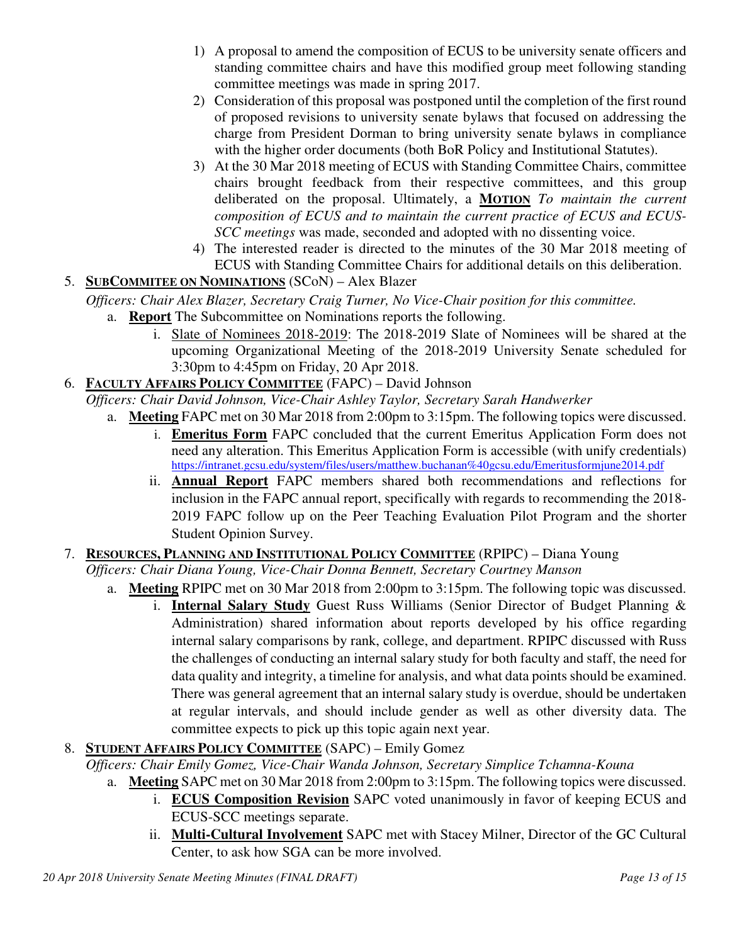- 1) A proposal to amend the composition of ECUS to be university senate officers and standing committee chairs and have this modified group meet following standing committee meetings was made in spring 2017.
- 2) Consideration of this proposal was postponed until the completion of the first round of proposed revisions to university senate bylaws that focused on addressing the charge from President Dorman to bring university senate bylaws in compliance with the higher order documents (both BoR Policy and Institutional Statutes).
- 3) At the 30 Mar 2018 meeting of ECUS with Standing Committee Chairs, committee chairs brought feedback from their respective committees, and this group deliberated on the proposal. Ultimately, a **MOTION** *To maintain the current composition of ECUS and to maintain the current practice of ECUS and ECUS-SCC meetings* was made, seconded and adopted with no dissenting voice.
- 4) The interested reader is directed to the minutes of the 30 Mar 2018 meeting of ECUS with Standing Committee Chairs for additional details on this deliberation.
- 5. **SUBCOMMITEE ON NOMINATIONS** (SCoN) Alex Blazer

*Officers: Chair Alex Blazer, Secretary Craig Turner, No Vice-Chair position for this committee.*

- a. **Report** The Subcommittee on Nominations reports the following.
	- i. Slate of Nominees 2018-2019: The 2018-2019 Slate of Nominees will be shared at the upcoming Organizational Meeting of the 2018-2019 University Senate scheduled for 3:30pm to 4:45pm on Friday, 20 Apr 2018.
- 6. **FACULTY AFFAIRS POLICY COMMITTEE** (FAPC) David Johnson

*Officers: Chair David Johnson, Vice-Chair Ashley Taylor, Secretary Sarah Handwerker*

- a. **Meeting** FAPC met on 30 Mar 2018 from 2:00pm to 3:15pm. The following topics were discussed.
	- i. **Emeritus Form** FAPC concluded that the current Emeritus Application Form does not need any alteration. This Emeritus Application Form is accessible (with unify credentials) https://intranet.gcsu.edu/system/files/users/matthew.buchanan%40gcsu.edu/Emeritusformjune2014.pdf
	- ii. **Annual Report** FAPC members shared both recommendations and reflections for inclusion in the FAPC annual report, specifically with regards to recommending the 2018- 2019 FAPC follow up on the Peer Teaching Evaluation Pilot Program and the shorter Student Opinion Survey.
- 7. **RESOURCES, PLANNING AND INSTITUTIONAL POLICY COMMITTEE** (RPIPC) Diana Young

*Officers: Chair Diana Young, Vice-Chair Donna Bennett, Secretary Courtney Manson* 

- a. **Meeting** RPIPC met on 30 Mar 2018 from 2:00pm to 3:15pm. The following topic was discussed. i. **Internal Salary Study** Guest Russ Williams (Senior Director of Budget Planning & Administration) shared information about reports developed by his office regarding internal salary comparisons by rank, college, and department. RPIPC discussed with Russ the challenges of conducting an internal salary study for both faculty and staff, the need for data quality and integrity, a timeline for analysis, and what data points should be examined. There was general agreement that an internal salary study is overdue, should be undertaken at regular intervals, and should include gender as well as other diversity data. The committee expects to pick up this topic again next year.
- 8. **STUDENT AFFAIRS POLICY COMMITTEE** (SAPC) Emily Gomez
	- *Officers: Chair Emily Gomez, Vice-Chair Wanda Johnson, Secretary Simplice Tchamna-Kouna*
		- a. **Meeting** SAPC met on 30 Mar 2018 from 2:00pm to 3:15pm. The following topics were discussed.
			- i. **ECUS Composition Revision** SAPC voted unanimously in favor of keeping ECUS and ECUS-SCC meetings separate.
			- ii. **Multi-Cultural Involvement** SAPC met with Stacey Milner, Director of the GC Cultural Center, to ask how SGA can be more involved.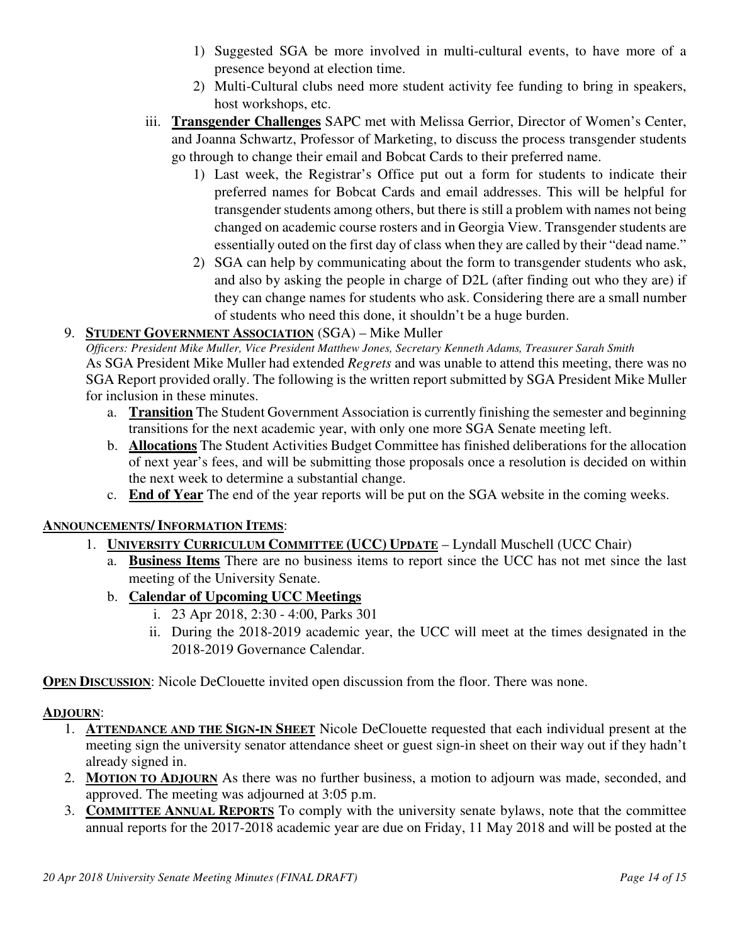- 1) Suggested SGA be more involved in multi-cultural events, to have more of a presence beyond at election time.
- 2) Multi-Cultural clubs need more student activity fee funding to bring in speakers, host workshops, etc.
- iii. **Transgender Challenges** SAPC met with Melissa Gerrior, Director of Women's Center, and Joanna Schwartz, Professor of Marketing, to discuss the process transgender students go through to change their email and Bobcat Cards to their preferred name.
	- 1) Last week, the Registrar's Office put out a form for students to indicate their preferred names for Bobcat Cards and email addresses. This will be helpful for transgender students among others, but there is still a problem with names not being changed on academic course rosters and in Georgia View. Transgender students are essentially outed on the first day of class when they are called by their "dead name."
	- 2) SGA can help by communicating about the form to transgender students who ask, and also by asking the people in charge of D2L (after finding out who they are) if they can change names for students who ask. Considering there are a small number of students who need this done, it shouldn't be a huge burden.

# 9. **STUDENT GOVERNMENT ASSOCIATION** (SGA) – Mike Muller

*Officers: President Mike Muller, Vice President Matthew Jones, Secretary Kenneth Adams, Treasurer Sarah Smith* As SGA President Mike Muller had extended *Regrets* and was unable to attend this meeting, there was no SGA Report provided orally. The following is the written report submitted by SGA President Mike Muller for inclusion in these minutes.

- a. **Transition** The Student Government Association is currently finishing the semester and beginning transitions for the next academic year, with only one more SGA Senate meeting left.
- b. **Allocations** The Student Activities Budget Committee has finished deliberations for the allocation of next year's fees, and will be submitting those proposals once a resolution is decided on within the next week to determine a substantial change.
- c. **End of Year** The end of the year reports will be put on the SGA website in the coming weeks.

# **ANNOUNCEMENTS/ INFORMATION ITEMS**:

# 1. **UNIVERSITY CURRICULUM COMMITTEE (UCC) UPDATE** – Lyndall Muschell (UCC Chair)

- a. **Business Items** There are no business items to report since the UCC has not met since the last meeting of the University Senate.
- b. **Calendar of Upcoming UCC Meetings**
	- i. 23 Apr 2018, 2:30 4:00, Parks 301
	- ii. During the 2018-2019 academic year, the UCC will meet at the times designated in the 2018-2019 Governance Calendar.

**OPEN DISCUSSION:** Nicole DeClouette invited open discussion from the floor. There was none.

## **ADJOURN**:

- 1. **ATTENDANCE AND THE SIGN-IN SHEET** Nicole DeClouette requested that each individual present at the meeting sign the university senator attendance sheet or guest sign-in sheet on their way out if they hadn't already signed in.
- 2. **MOTION TO ADJOURN** As there was no further business, a motion to adjourn was made, seconded, and approved. The meeting was adjourned at 3:05 p.m.
- 3. **COMMITTEE ANNUAL REPORTS** To comply with the university senate bylaws, note that the committee annual reports for the 2017-2018 academic year are due on Friday, 11 May 2018 and will be posted at the